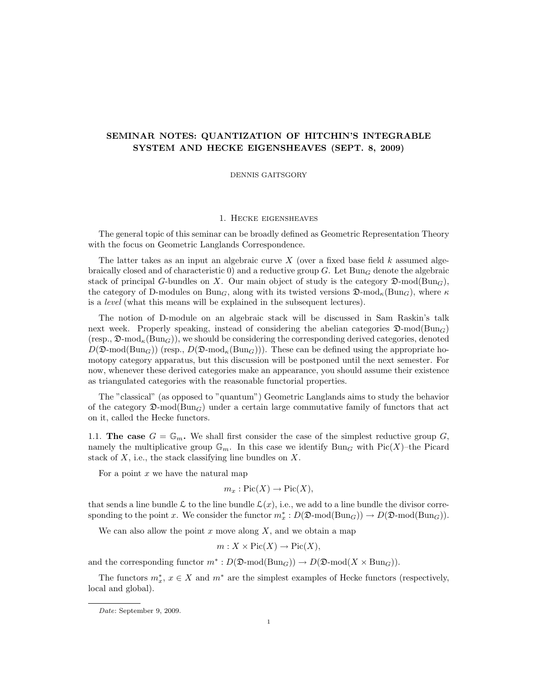# SEMINAR NOTES: QUANTIZATION OF HITCHIN'S INTEGRABLE SYSTEM AND HECKE EIGENSHEAVES (SEPT. 8, 2009)

DENNIS GAITSGORY

## 1. Hecke eigensheaves

The general topic of this seminar can be broadly defined as Geometric Representation Theory with the focus on Geometric Langlands Correspondence.

The latter takes as an input an algebraic curve  $X$  (over a fixed base field  $k$  assumed algebraically closed and of characteristic 0) and a reductive group G. Let  $Bun<sub>G</sub>$  denote the algebraic stack of principal G-bundles on X. Our main object of study is the category  $\mathfrak{D}\text{-mod}(\text{Bun}_G)$ , the category of D-modules on Bun<sub>G</sub>, along with its twisted versions  $\mathfrak{D}\text{-mod}_{\kappa}(\text{Bun}_G)$ , where  $\kappa$ is a level (what this means will be explained in the subsequent lectures).

The notion of D-module on an algebraic stack will be discussed in Sam Raskin's talk next week. Properly speaking, instead of considering the abelian categories  $\mathfrak{D}\text{-mod}(Bun_G)$  $(\text{resp.}, \mathcal{D} \text{-mod}_{\kappa}(\text{Bun}_G))$ , we should be considering the corresponding derived categories, denoted  $D(\mathfrak{D}\text{-mod}(\text{Bun}_G))$  (resp.,  $D(\mathfrak{D}\text{-mod}_k(\text{Bun}_G))$ ). These can be defined using the appropriate homotopy category apparatus, but this discussion will be postponed until the next semester. For now, whenever these derived categories make an appearance, you should assume their existence as triangulated categories with the reasonable functorial properties.

The "classical" (as opposed to "quantum") Geometric Langlands aims to study the behavior of the category  $\mathfrak{D}\text{-mod}(\text{Bun}_G)$  under a certain large commutative family of functors that act on it, called the Hecke functors.

1.1. The case  $G = \mathbb{G}_m$ . We shall first consider the case of the simplest reductive group G, namely the multiplicative group  $\mathbb{G}_m$ . In this case we identify  $Bun_G$  with  $Pic(X)$ –the Picard stack of  $X$ , i.e., the stack classifying line bundles on  $X$ .

For a point  $x$  we have the natural map

$$
m_x: \mathrm{Pic}(X) \to \mathrm{Pic}(X),
$$

that sends a line bundle L to the line bundle  $\mathcal{L}(x)$ , i.e., we add to a line bundle the divisor corresponding to the point x. We consider the functor  $m_x^*: D(\mathfrak{D}\text{-mod}(\text{Bun}_G)) \to D(\mathfrak{D}\text{-mod}(\text{Bun}_G)).$ 

We can also allow the point  $x$  move along  $X$ , and we obtain a map

$$
m: X \times \text{Pic}(X) \to \text{Pic}(X),
$$

and the corresponding functor  $m^*: D(\mathfrak{D}\text{-mod}(\text{Bun}_G)) \to D(\mathfrak{D}\text{-mod}(X \times \text{Bun}_G)).$ 

The functors  $m_x^*$ ,  $x \in X$  and  $m^*$  are the simplest examples of Hecke functors (respectively, local and global).

Date: September 9, 2009.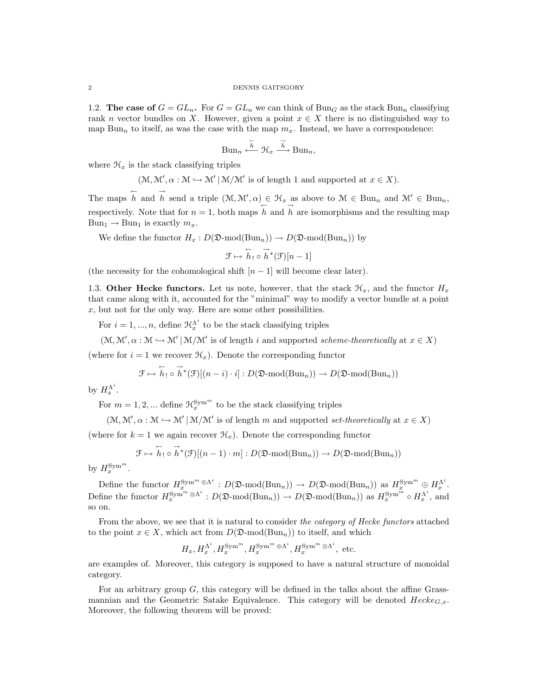#### 2 DENNIS GAITSGORY

1.2. The case of  $G = GL_n$ . For  $G = GL_n$  we can think of Bun<sub>G</sub> as the stack Bun<sub>n</sub> classifying rank n vector bundles on X. However, given a point  $x \in X$  there is no distinguished way to map Bun<sub>n</sub> to itself, as was the case with the map  $m_x$ . Instead, we have a correspondence:

$$
Bun_n \xleftarrow{\overleftarrow{h}} \mathcal{H}_x \xrightarrow{\overrightarrow{h}} Bun_n,
$$

where  $\mathcal{H}_x$  is the stack classifying triples

$$
(\mathcal{M}, \mathcal{M}', \alpha : \mathcal{M} \hookrightarrow \mathcal{M}' | \mathcal{M}/\mathcal{M}'
$$
 is of length 1 and supported at  $x \in X$ ).

The maps  $\overleftarrow{h}$  and  $\overrightarrow{h}$  send a triple  $(\mathcal{M}, \mathcal{M}', \alpha) \in \mathcal{H}_x$  as above to  $\mathcal{M} \in \text{Bun}_n$  and  $\mathcal{M}' \in \text{Bun}_n$ , respectively. Note that for  $n = 1$ , both maps h and h are isomorphisms and the resulting map  $Bun_1 \rightarrow Bun_1$  is exactly  $m_x$ .

We define the functor  $H_x : D(\mathfrak{D}\text{-mod}(\text{Bun}_n)) \to D(\mathfrak{D}\text{-mod}(\text{Bun}_n))$  by

$$
\mathcal{F} \mapsto \overleftarrow{h}_! \circ \overrightarrow{h}^*(\mathcal{F})[n-1]
$$

(the necessity for the cohomological shift  $[n-1]$  will become clear later).

1.3. Other Hecke functors. Let us note, however, that the stack  $\mathcal{H}_x$ , and the functor  $H_x$ that came along with it, accounted for the "minimal" way to modify a vector bundle at a point  $x$ , but not for the only way. Here are some other possibilities.

For  $i = 1, ..., n$ , define  $\mathcal{H}_x^{\Lambda^i}$  to be the stack classifying triples

$$
(\mathcal{M}, \mathcal{M}', \alpha : \mathcal{M} \hookrightarrow \mathcal{M}' | \mathcal{M}/\mathcal{M}'
$$
 is of length *i* and supported *scheme-theoretically* at  $x \in X$ )

(where for  $i = 1$  we recover  $\mathcal{H}_x$ ). Denote the corresponding functor

$$
\mathcal{F} \mapsto \overleftarrow{h}_! \circ \overrightarrow{h}^*(\mathcal{F})[(n-i)\cdot i]: D(\mathfrak{D}\text{-mod}(\text{Bun}_n)) \to D(\mathfrak{D}\text{-mod}(\text{Bun}_n))
$$

by  $H_x^{\Lambda^i}$ .

For  $m = 1, 2, ...$  define  $\mathcal{H}_x^{\text{Sym}^m}$  to be the stack classifying triples

 $(\mathcal{M}, \mathcal{M}', \alpha : \mathcal{M} \hookrightarrow \mathcal{M}' | \mathcal{M}/\mathcal{M}'$  is of length m and supported set-theoretically at  $x \in X$ )

(where for  $k = 1$  we again recover  $\mathcal{H}_x$ ). Denote the corresponding functor

$$
\mathcal{F} \mapsto \overleftarrow{h}_! \circ \overrightarrow{h}^*(\mathcal{F})[(n-1)\cdot m] : D(\mathfrak{D}\text{-mod}(\text{Bun}_n)) \to D(\mathfrak{D}\text{-mod}(\text{Bun}_n))
$$

by  $H_x^{\text{Sym}^m}$ .

Define the functor  $H_x^{\text{Sym}^m \oplus \Lambda^i}: D(\mathfrak{D}\text{-mod}(\text{Bun}_n)) \to D(\mathfrak{D}\text{-mod}(\text{Bun}_n))$  as  $H_x^{\text{Sym}^m} \oplus H_x^{\Lambda^i}$ . Define the functor  $H_x^{\text{Sym}^m \otimes \Lambda^i}: D(\mathfrak{D}\text{-mod}(\text{Bun}_n)) \to D(\mathfrak{D}\text{-mod}(\text{Bun}_n))$  as  $H_x^{\text{Sym}^m} \circ H_x^{\Lambda^i}$ , and so on.

From the above, we see that it is natural to consider the category of Hecke functors attached to the point  $x \in X$ , which act from  $D(\mathfrak{D}\text{-mod}(Bun_n))$  to itself, and which

$$
H_x, H_x^{\Lambda^i}, H_x^{\text{Sym}^m}, H_x^{\text{Sym}^m \oplus \Lambda^i}, H_x^{\text{Sym}^m \otimes \Lambda^i}, \text{ etc.}
$$

are examples of. Moreover, this category is supposed to have a natural structure of monoidal category.

For an arbitrary group  $G$ , this category will be defined in the talks about the affine Grassmannian and the Geometric Satake Equivalence. This category will be denoted  $Hecke_{G,x}$ . Moreover, the following theorem will be proved: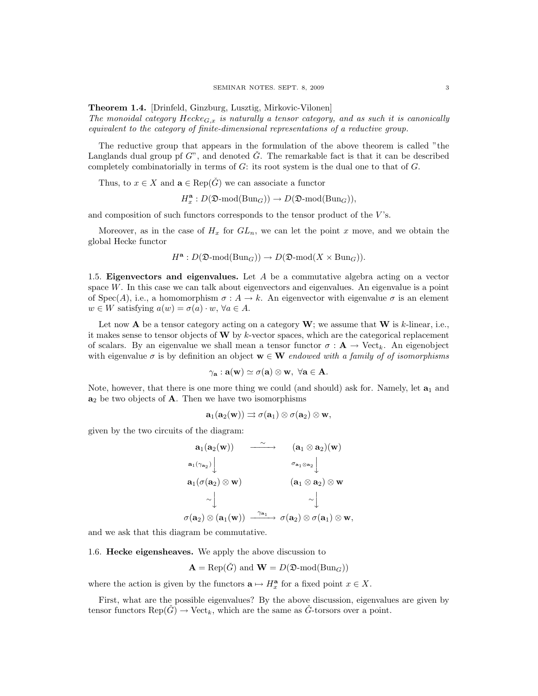Theorem 1.4. [Drinfeld, Ginzburg, Lusztig, Mirkovic-Vilonen]

The monoidal category  $Hecke_{G,x}$  is naturally a tensor category, and as such it is canonically equivalent to the category of finite-dimensional representations of a reductive group.

The reductive group that appears in the formulation of the above theorem is called "the Langlands dual group pf  $G$ ", and denoted  $\check{G}$ . The remarkable fact is that it can be described completely combinatorially in terms of  $G$ : its root system is the dual one to that of  $G$ .

Thus, to  $x \in X$  and  $\mathbf{a} \in \text{Rep}(\check{G})$  we can associate a functor

$$
H^\mathbf{a}_x : D(\mathfrak{D}\text{-}\mathrm{mod}(\mathrm{Bun}_G)) \rightarrow D(\mathfrak{D}\text{-}\mathrm{mod}(\mathrm{Bun}_G)),
$$

and composition of such functors corresponds to the tensor product of the  $V$ 's.

Moreover, as in the case of  $H_x$  for  $GL_n$ , we can let the point x move, and we obtain the global Hecke functor

$$
H^{\mathbf{a}}: D(\mathfrak{D}\text{-mod}(\mathrm{Bun}_G)) \to D(\mathfrak{D}\text{-mod}(X \times \mathrm{Bun}_G)).
$$

1.5. Eigenvectors and eigenvalues. Let  $A$  be a commutative algebra acting on a vector space  $W$ . In this case we can talk about eigenvectors and eigenvalues. An eigenvalue is a point of Spec(A), i.e., a homomorphism  $\sigma : A \to k$ . An eigenvector with eigenvalue  $\sigma$  is an element  $w \in W$  satisfying  $a(w) = \sigma(a) \cdot w$ ,  $\forall a \in A$ .

Let now **A** be a tensor category acting on a category  $W$ ; we assume that  $W$  is k-linear, i.e., it makes sense to tensor objects of  $\bf{W}$  by k-vector spaces, which are the categorical replacement of scalars. By an eigenvalue we shall mean a tensor functor  $\sigma : \mathbf{A} \to \text{Vect}_k$ . An eigenobject with eigenvalue  $\sigma$  is by definition an object  $\mathbf{w} \in \mathbf{W}$  endowed with a family of of isomorphisms

$$
\gamma_{\mathbf{a}}: \mathbf{a}(\mathbf{w}) \simeq \sigma(\mathbf{a}) \otimes \mathbf{w}, \,\, \forall \mathbf{a} \in \mathbf{A}.
$$

Note, however, that there is one more thing we could (and should) ask for. Namely, let  $a_1$  and  $a_2$  be two objects of **A**. Then we have two isomorphisms

$$
\mathbf{a}_1(\mathbf{a}_2(\mathbf{w})) \rightrightarrows \sigma(\mathbf{a}_1) \otimes \sigma(\mathbf{a}_2) \otimes \mathbf{w},
$$

given by the two circuits of the diagram:

$$
\begin{array}{cccc} \mathbf{a}_1(\mathbf{a}_2(\mathbf{w})) & \stackrel{\sim}{\xrightarrow{\hspace*{1cm}}} & (\mathbf{a}_1 \otimes \mathbf{a}_2)(\mathbf{w}) \\ \mathbf{a}_1(\gamma_{\mathbf{a}_2}) \Big\downarrow & & \sigma_{\mathbf{a}_1 \otimes \mathbf{a}_2} \Big\downarrow \\ & & \\ \mathbf{a}_1(\sigma(\mathbf{a}_2) \otimes \mathbf{w}) & & (\mathbf{a}_1 \otimes \mathbf{a}_2) \otimes \mathbf{w} \\ & & \sim \Big\downarrow & & \sim \Big\downarrow \\ \sigma(\mathbf{a}_2) \otimes (\mathbf{a}_1(\mathbf{w})) & \stackrel{\gamma_{\mathbf{a}_1}}{\xrightarrow{\hspace*{1cm}}} & \sigma(\mathbf{a}_2) \otimes \sigma(\mathbf{a}_1) \otimes \mathbf{w}, \end{array}
$$

and we ask that this diagram be commutative.

1.6. Hecke eigensheaves. We apply the above discussion to

$$
\mathbf{A} = \text{Rep}(\check{G}) \text{ and } \mathbf{W} = D(\mathfrak{D}\text{-mod}(\text{Bun}_G))
$$

where the action is given by the functors  $\mathbf{a} \mapsto H_x^{\mathbf{a}}$  for a fixed point  $x \in X$ .

First, what are the possible eigenvalues? By the above discussion, eigenvalues are given by tensor functors  $\text{Rep}(\check{G}) \to \text{Vect}_k$ , which are the same as  $\check{G}$ -torsors over a point.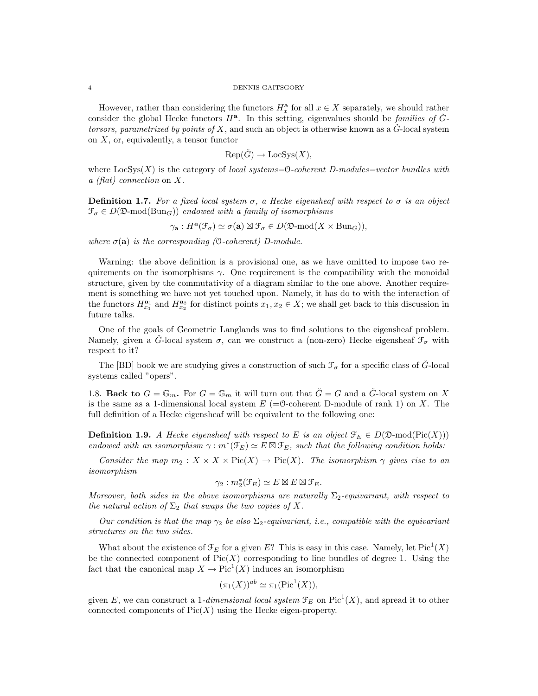#### 4 DENNIS GAITSGORY

However, rather than considering the functors  $H_x^{\mathbf{a}}$  for all  $x \in X$  separately, we should rather consider the global Hecke functors  $H^{\mathbf{a}}$ . In this setting, eigenvalues should be families of  $\check{G}$ torsors, parametrized by points of X, and such an object is otherwise known as a  $\check{G}$ -local system on  $X$ , or, equivalently, a tensor functor

$$
Rep(\check{G}) \to LocSys(X),
$$

where  $\text{LocSys}(X)$  is the category of local systems=0-coherent D-modules=vector bundles with a (flat) connection on X.

**Definition 1.7.** For a fixed local system  $\sigma$ , a Hecke eigensheaf with respect to  $\sigma$  is an object  $\mathcal{F}_{\sigma} \in D(\mathfrak{D}\text{-mod}(\text{Bun}_G))$  endowed with a family of isomorphisms

$$
\gamma_{\mathbf{a}}: H^{\mathbf{a}}(\mathcal{F}_{\sigma}) \simeq \sigma(\mathbf{a}) \boxtimes \mathcal{F}_{\sigma} \in D(\mathfrak{D}\text{-mod}(X \times \text{Bun}_G)),
$$

where  $\sigma(\mathbf{a})$  is the corresponding (0-coherent) D-module.

Warning: the above definition is a provisional one, as we have omitted to impose two requirements on the isomorphisms  $\gamma$ . One requirement is the compatibility with the monoidal structure, given by the commutativity of a diagram similar to the one above. Another requirement is something we have not yet touched upon. Namely, it has do to with the interaction of the functors  $H_{x_1}^{\mathbf{a}_1}$  and  $H_{x_2}^{\mathbf{a}_2}$  for distinct points  $x_1, x_2 \in X$ ; we shall get back to this discussion in future talks.

One of the goals of Geometric Langlands was to find solutions to the eigensheaf problem. Namely, given a  $\check{G}$ -local system  $\sigma$ , can we construct a (non-zero) Hecke eigensheaf  $\mathcal{F}_{\sigma}$  with respect to it?

The [BD] book we are studying gives a construction of such  $\mathcal{F}_{\sigma}$  for a specific class of  $\hat{G}$ -local systems called "opers".

1.8. Back to  $G = \mathbb{G}_m$ . For  $G = \mathbb{G}_m$  it will turn out that  $\check{G} = G$  and a  $\check{G}$ -local system on X is the same as a 1-dimensional local system  $E = \Theta$ -coherent D-module of rank 1) on X. The full definition of a Hecke eigensheaf will be equivalent to the following one:

**Definition 1.9.** A Hecke eigensheaf with respect to E is an object  $\mathcal{F}_E \in D(\mathfrak{D}\text{-mod}(\text{Pic}(X)))$ endowed with an isomorphism  $\gamma : m^*(\mathfrak{F}_E) \simeq E \boxtimes \mathfrak{F}_E$ , such that the following condition holds:

Consider the map  $m_2 : X \times X \times Pic(X) \to Pic(X)$ . The isomorphism  $\gamma$  gives rise to an isomorphism

$$
\gamma_2: m_2^*(\mathcal{F}_E) \simeq E \boxtimes E \boxtimes \mathcal{F}_E.
$$

Moreover, both sides in the above isomorphisms are naturally  $\Sigma_2$ -equivariant, with respect to the natural action of  $\Sigma_2$  that swaps the two copies of X.

Our condition is that the map  $\gamma_2$  be also  $\Sigma_2$ -equivariant, i.e., compatible with the equivariant structures on the two sides.

What about the existence of  $\mathcal{F}_E$  for a given E? This is easy in this case. Namely, let  $Pic^1(X)$ be the connected component of  $Pic(X)$  corresponding to line bundles of degree 1. Using the fact that the canonical map  $X \to Pic^1(X)$  induces an isomorphism

$$
(\pi_1(X))^{ab} \simeq \pi_1(\operatorname{Pic}^1(X)),
$$

given E, we can construct a 1-dimensional local system  $\mathcal{F}_E$  on  $Pic^1(X)$ , and spread it to other connected components of  $Pic(X)$  using the Hecke eigen-property.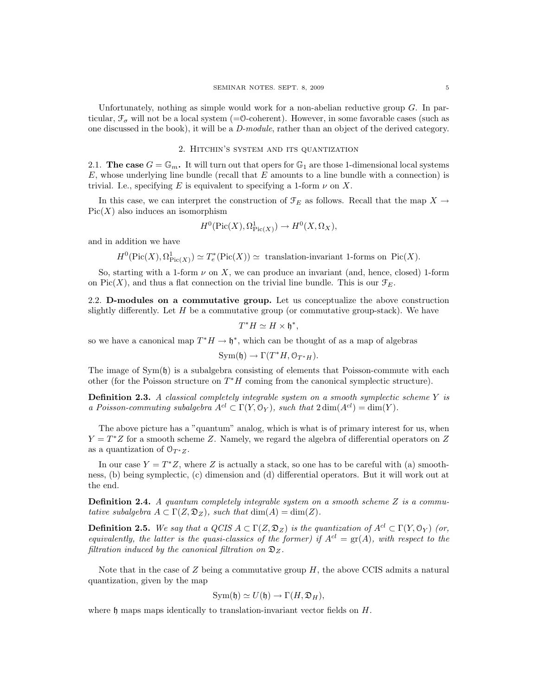Unfortunately, nothing as simple would work for a non-abelian reductive group  $G$ . In particular,  $\mathcal{F}_{\sigma}$  will not be a local system (=0-coherent). However, in some favorable cases (such as one discussed in the book), it will be a D-module, rather than an object of the derived category.

## 2. Hitchin's system and its quantization

2.1. The case  $G = \mathbb{G}_m$ . It will turn out that opers for  $\mathbb{G}_1$  are those 1-dimensional local systems  $E$ , whose underlying line bundle (recall that  $E$  amounts to a line bundle with a connection) is trivial. I.e., specifying E is equivalent to specifying a 1-form  $\nu$  on X.

In this case, we can interpret the construction of  $\mathcal{F}_E$  as follows. Recall that the map  $X \to$  $Pic(X)$  also induces an isomorphism

$$
H^0(\text{Pic}(X), \Omega^1_{\text{Pic}(X)}) \to H^0(X, \Omega_X),
$$

and in addition we have

 $H^0(\text{Pic}(X), \Omega^1_{\text{Pic}(X)}) \simeq T_e^*(\text{Pic}(X)) \simeq \text{translation-invariant 1-forms on } \text{Pic}(X).$ 

So, starting with a 1-form  $\nu$  on X, we can produce an invariant (and, hence, closed) 1-form on Pic(X), and thus a flat connection on the trivial line bundle. This is our  $\mathcal{F}_E$ .

2.2. D-modules on a commutative group. Let us conceptualize the above construction slightly differently. Let  $H$  be a commutative group (or commutative group-stack). We have

$$
T^*H \simeq H \times \mathfrak{h}^*,
$$

so we have a canonical map  $T^*H \to \mathfrak{h}^*$ , which can be thought of as a map of algebras

$$
Sym(\mathfrak{h}) \to \Gamma(T^*H, \mathcal{O}_{T^*H}).
$$

The image of  $Sym(h)$  is a subalgebra consisting of elements that Poisson-commute with each other (for the Poisson structure on  $T^*H$  coming from the canonical symplectic structure).

**Definition 2.3.** A classical completely integrable system on a smooth symplectic scheme  $Y$  is a Poisson-commuting subalgebra  $A^{cl} \subset \Gamma(Y, \mathbb{O}_Y)$ , such that  $2 \dim(A^{cl}) = \dim(Y)$ .

The above picture has a "quantum" analog, which is what is of primary interest for us, when  $Y = T^*Z$  for a smooth scheme Z. Namely, we regard the algebra of differential operators on Z as a quantization of  $\mathcal{O}_{T^*Z}$ .

In our case  $Y = T^*Z$ , where Z is actually a stack, so one has to be careful with (a) smoothness, (b) being symplectic, (c) dimension and (d) differential operators. But it will work out at the end.

**Definition 2.4.** A quantum completely integrable system on a smooth scheme  $Z$  is a commutative subalgebra  $A \subset \Gamma(Z, \mathfrak{D}_Z)$ , such that  $\dim(A) = \dim(Z)$ .

**Definition 2.5.** We say that a QCIS  $A \subset \Gamma(Z, \mathfrak{D}_Z)$  is the quantization of  $A^{cl} \subset \Gamma(Y, \mathfrak{O}_Y)$  (or, equivalently, the latter is the quasi-classics of the former) if  $A^{cl} = \text{gr}(A)$ , with respect to the filtration induced by the canonical filtration on  $\mathfrak{D}_Z$ .

Note that in the case of  $Z$  being a commutative group  $H$ , the above CCIS admits a natural quantization, given by the map

$$
Sym(\mathfrak{h}) \simeq U(\mathfrak{h}) \to \Gamma(H, \mathfrak{D}_H),
$$

where h maps maps identically to translation-invariant vector fields on  $H$ .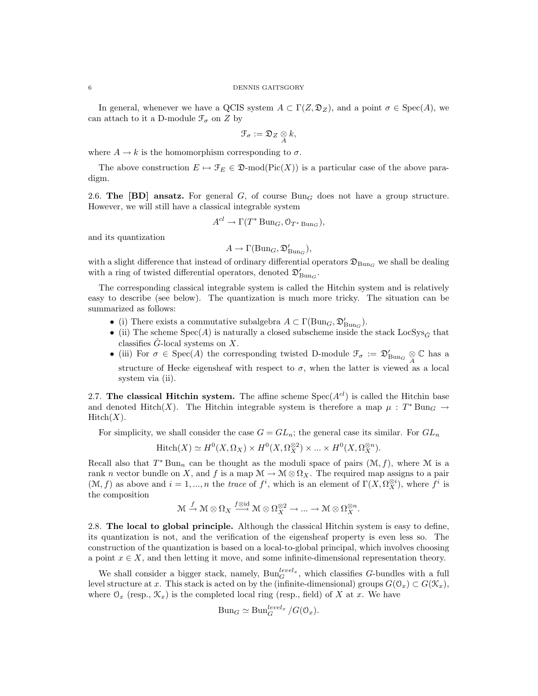In general, whenever we have a QCIS system  $A \subset \Gamma(Z, \mathfrak{D}_Z)$ , and a point  $\sigma \in \text{Spec}(A)$ , we can attach to it a D-module  $\mathcal{F}_\sigma$  on  $Z$  by

$$
\mathfrak{F}_\sigma:=\mathfrak{D}_Z\underset{A}{\otimes}k,
$$

where  $A \rightarrow k$  is the homomorphism corresponding to  $\sigma$ .

The above construction  $E \mapsto \mathcal{F}_E \in \mathfrak{D}\text{-mod}(\text{Pic}(X))$  is a particular case of the above paradigm.

2.6. The [BD] ansatz. For general G, of course  $Bun<sub>G</sub>$  does not have a group structure. However, we will still have a classical integrable system

$$
A^{cl} \to \Gamma(T^* \operatorname{Bun}_G, \mathcal{O}_{T^* \operatorname{Bun}_G}),
$$

and its quantization

$$
A \to \Gamma(\operatorname{Bun}_G,\mathfrak{D}'_{\operatorname{Bun}_G}),
$$

with a slight difference that instead of ordinary differential operators  $\mathfrak{D}_{\text{Bun}_G}$  we shall be dealing with a ring of twisted differential operators, denoted  $\mathfrak{D}'_{\mathrm{Bun}_G}.$ 

The corresponding classical integrable system is called the Hitchin system and is relatively easy to describe (see below). The quantization is much more tricky. The situation can be summarized as follows:

- (i) There exists a commutative subalgebra  $A \subset \Gamma(\text{Bun}_G, \mathfrak{D}'_{\text{Bun}_G})$ .
- (ii) The scheme  $Spec(A)$  is naturally a closed subscheme inside the stack  $LocSys_{\check{G}}$  that classifies  $\check{G}$ -local systems on X.
- (iii) For  $\sigma \in \text{Spec}(A)$  the corresponding twisted D-module  $\mathcal{F}_{\sigma} := \mathfrak{D}'_{\text{Bun}_G} \underset{A}{\otimes} \mathbb{C}$  has a structure of Hecke eigensheaf with respect to  $\sigma$ , when the latter is viewed as a local system via (ii).

2.7. The classical Hitchin system. The affine scheme  $Spec(A^{cl})$  is called the Hitchin base and denoted Hitch(X). The Hitchin integrable system is therefore a map  $\mu : T^* \text{Bun}_G \rightarrow$  $Hitch(X).$ 

For simplicity, we shall consider the case  $G = GL_n$ ; the general case its similar. For  $GL_n$ 

$$
\mathrm{Hitch}(X) \simeq H^0(X, \Omega_X) \times H^0(X, \Omega_X^{\otimes 2}) \times \dots \times H^0(X, \Omega_X^{\otimes n}).
$$

Recall also that  $T^*$  Bun<sub>n</sub> can be thought as the moduli space of pairs  $(\mathcal{M}, f)$ , where M is a rank n vector bundle on X, and f is a map  $\mathcal{M} \to \mathcal{M} \otimes \Omega_X$ . The required map assigns to a pair  $(\mathcal{M}, f)$  as above and  $i = 1, ..., n$  the trace of  $f^i$ , which is an element of  $\Gamma(X, \Omega_X^{\otimes i})$ , where  $f^i$  is the composition

$$
\mathcal{M} \xrightarrow{f} \mathcal{M} \otimes \Omega_X \xrightarrow{f \otimes id} \mathcal{M} \otimes \Omega_X^{\otimes 2} \to \dots \to \mathcal{M} \otimes \Omega_X^{\otimes n}.
$$

2.8. The local to global principle. Although the classical Hitchin system is easy to define, its quantization is not, and the verification of the eigensheaf property is even less so. The construction of the quantization is based on a local-to-global principal, which involves choosing a point  $x \in X$ , and then letting it move, and some infinite-dimensional representation theory.

We shall consider a bigger stack, namely,  $\text{Bun}_{G}^{level_x}$ , which classifies G-bundles with a full level structure at x. This stack is acted on by the (infinite-dimensional) groups  $G(\mathcal{O}_x) \subset G(\mathcal{K}_x)$ , where  $\mathcal{O}_x$  (resp.,  $\mathcal{K}_x$ ) is the completed local ring (resp., field) of X at x. We have

$$
Bun_G \simeq Bun_G^{level_x}/G(\mathcal{O}_x).
$$